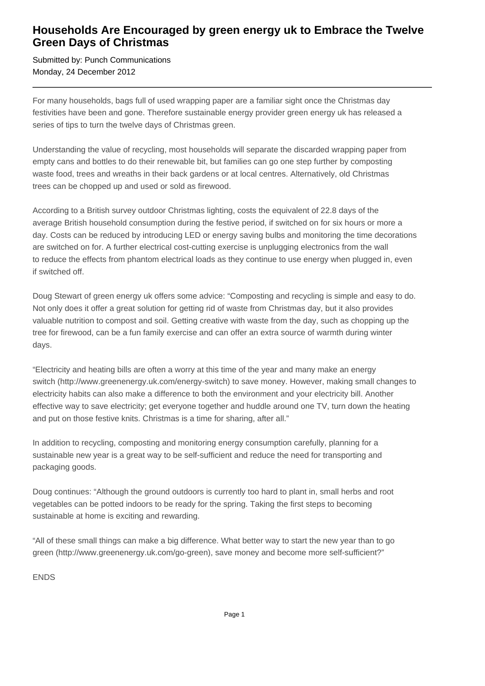## **Households Are Encouraged by green energy uk to Embrace the Twelve Green Days of Christmas**

Submitted by: Punch Communications Monday, 24 December 2012

For many households, bags full of used wrapping paper are a familiar sight once the Christmas day festivities have been and gone. Therefore sustainable energy provider green energy uk has released a series of tips to turn the twelve days of Christmas green.

Understanding the value of recycling, most households will separate the discarded wrapping paper from empty cans and bottles to do their renewable bit, but families can go one step further by composting waste food, trees and wreaths in their back gardens or at local centres. Alternatively, old Christmas trees can be chopped up and used or sold as firewood.

According to a British survey outdoor Christmas lighting, costs the equivalent of 22.8 days of the average British household consumption during the festive period, if switched on for six hours or more a day. Costs can be reduced by introducing LED or energy saving bulbs and monitoring the time decorations are switched on for. A further electrical cost-cutting exercise is unplugging electronics from the wall to reduce the effects from phantom electrical loads as they continue to use energy when plugged in, even if switched off.

Doug Stewart of green energy uk offers some advice: "Composting and recycling is simple and easy to do. Not only does it offer a great solution for getting rid of waste from Christmas day, but it also provides valuable nutrition to compost and soil. Getting creative with waste from the day, such as chopping up the tree for firewood, can be a fun family exercise and can offer an extra source of warmth during winter days.

"Electricity and heating bills are often a worry at this time of the year and many make an energy switch (http://www.greenenergy.uk.com/energy-switch) to save money. However, making small changes to electricity habits can also make a difference to both the environment and your electricity bill. Another effective way to save electricity; get everyone together and huddle around one TV, turn down the heating and put on those festive knits. Christmas is a time for sharing, after all."

In addition to recycling, composting and monitoring energy consumption carefully, planning for a sustainable new year is a great way to be self-sufficient and reduce the need for transporting and packaging goods.

Doug continues: "Although the ground outdoors is currently too hard to plant in, small herbs and root vegetables can be potted indoors to be ready for the spring. Taking the first steps to becoming sustainable at home is exciting and rewarding.

"All of these small things can make a big difference. What better way to start the new year than to go green (http://www.greenenergy.uk.com/go-green), save money and become more self-sufficient?"

ENDS